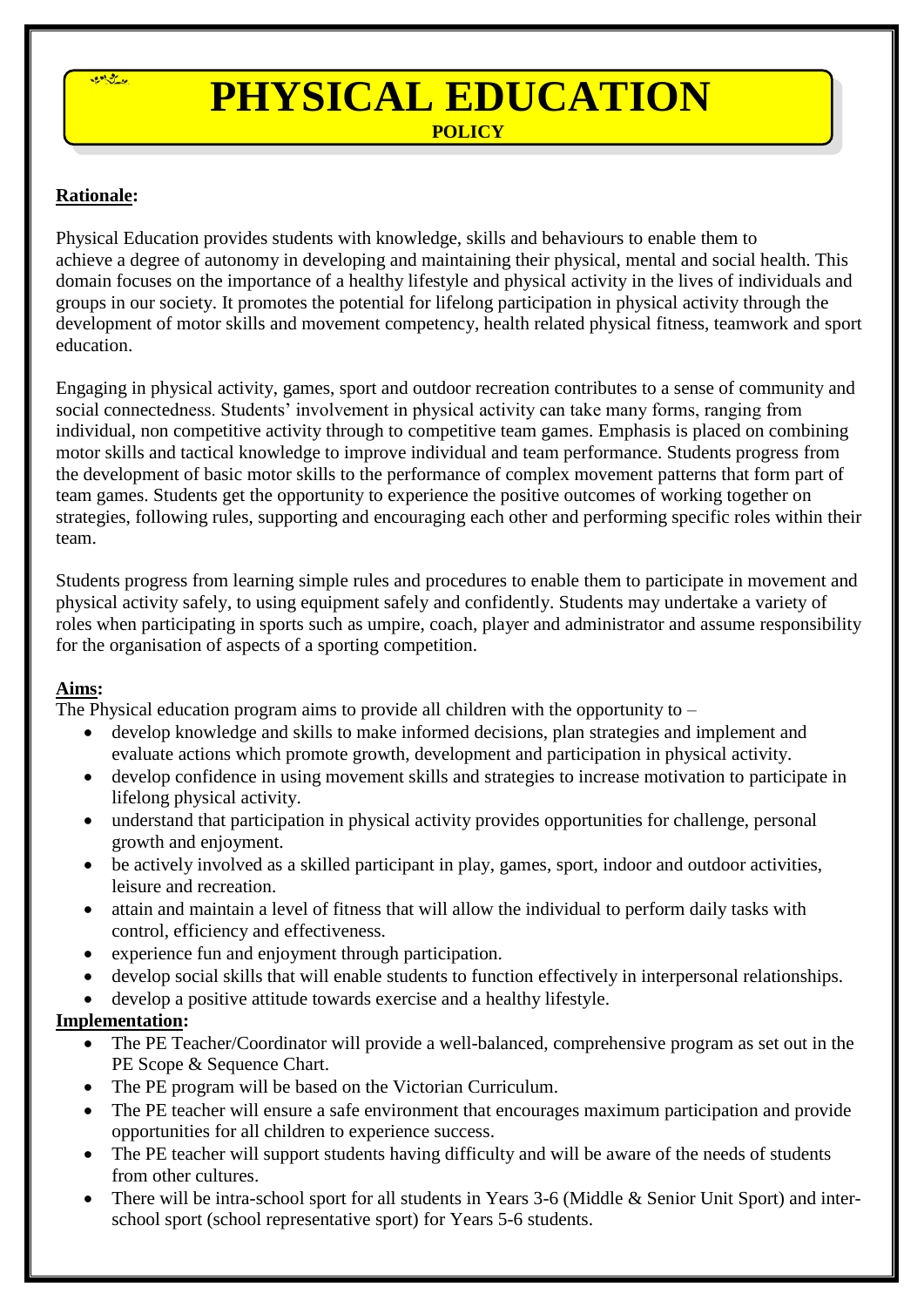

# **PHYSICAL EDUCATION**

 **POLICY**

## **Rationale:**

Physical Education provides students with knowledge, skills and behaviours to enable them to achieve a degree of autonomy in developing and maintaining their physical, mental and social health. This domain focuses on the importance of a healthy lifestyle and physical activity in the lives of individuals and groups in our society. It promotes the potential for lifelong participation in physical activity through the development of motor skills and movement competency, health related physical fitness, teamwork and sport education.

Engaging in physical activity, games, sport and outdoor recreation contributes to a sense of community and social connectedness. Students' involvement in physical activity can take many forms, ranging from individual, non competitive activity through to competitive team games. Emphasis is placed on combining motor skills and tactical knowledge to improve individual and team performance. Students progress from the development of basic motor skills to the performance of complex movement patterns that form part of team games. Students get the opportunity to experience the positive outcomes of working together on strategies, following rules, supporting and encouraging each other and performing specific roles within their team.

Students progress from learning simple rules and procedures to enable them to participate in movement and physical activity safely, to using equipment safely and confidently. Students may undertake a variety of roles when participating in sports such as umpire, coach, player and administrator and assume responsibility for the organisation of aspects of a sporting competition.

## **Aims:**

The Physical education program aims to provide all children with the opportunity to  $-$ 

- develop knowledge and skills to make informed decisions, plan strategies and implement and evaluate actions which promote growth, development and participation in physical activity.
- develop confidence in using movement skills and strategies to increase motivation to participate in lifelong physical activity.
- understand that participation in physical activity provides opportunities for challenge, personal growth and enjoyment.
- be actively involved as a skilled participant in play, games, sport, indoor and outdoor activities, leisure and recreation.
- attain and maintain a level of fitness that will allow the individual to perform daily tasks with control, efficiency and effectiveness.
- experience fun and enjoyment through participation.
- develop social skills that will enable students to function effectively in interpersonal relationships.
- develop a positive attitude towards exercise and a healthy lifestyle.

## **Implementation:**

- The PE Teacher/Coordinator will provide a well-balanced, comprehensive program as set out in the PE Scope & Sequence Chart.
- The PE program will be based on the Victorian Curriculum.
- The PE teacher will ensure a safe environment that encourages maximum participation and provide opportunities for all children to experience success.
- The PE teacher will support students having difficulty and will be aware of the needs of students from other cultures.
- There will be intra-school sport for all students in Years 3-6 (Middle & Senior Unit Sport) and interschool sport (school representative sport) for Years 5-6 students.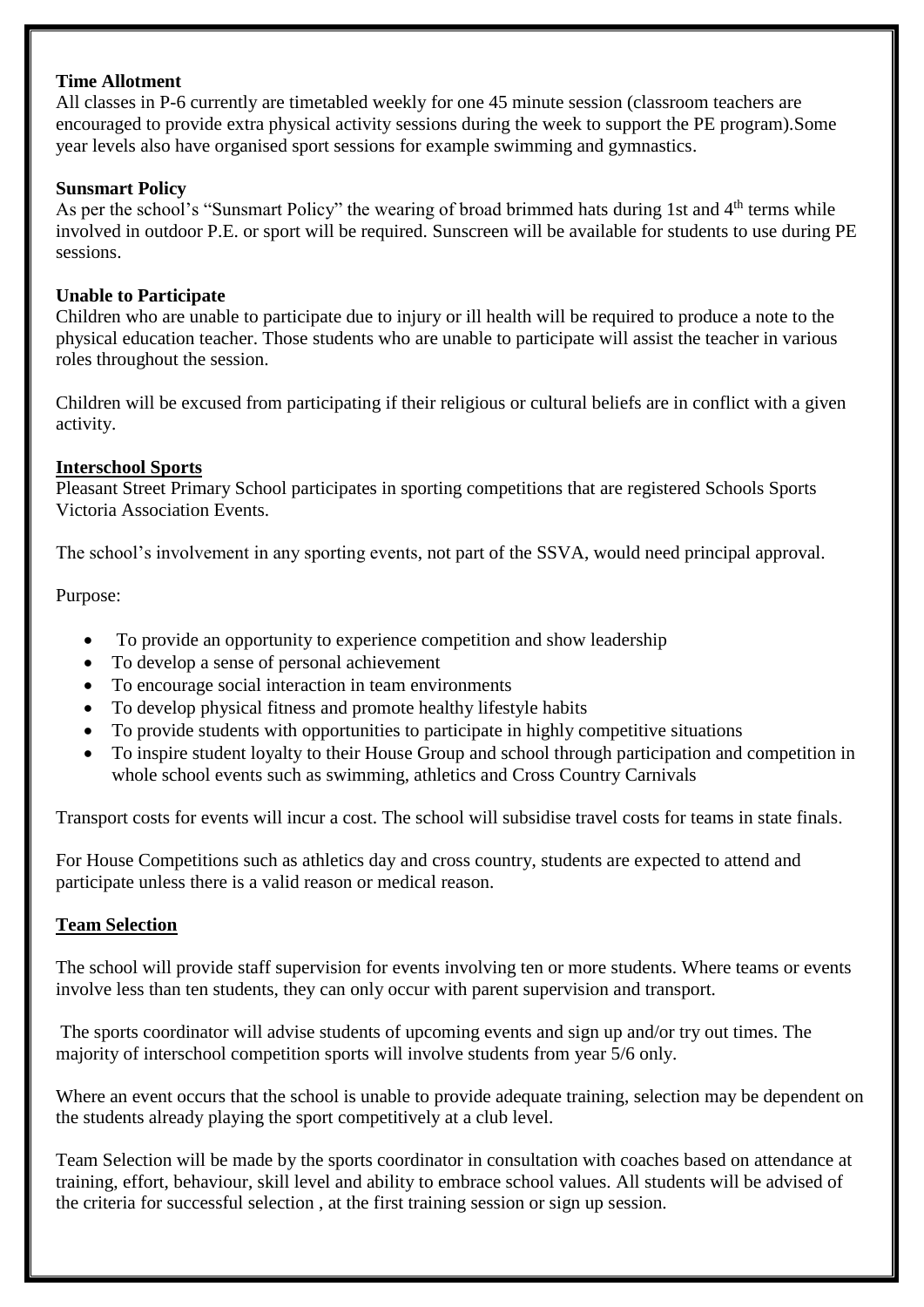#### **Time Allotment**

All classes in P-6 currently are timetabled weekly for one 45 minute session (classroom teachers are encouraged to provide extra physical activity sessions during the week to support the PE program).Some year levels also have organised sport sessions for example swimming and gymnastics.

#### **Sunsmart Policy**

As per the school's "Sunsmart Policy" the wearing of broad brimmed hats during 1st and 4<sup>th</sup> terms while involved in outdoor P.E. or sport will be required. Sunscreen will be available for students to use during PE sessions.

#### **Unable to Participate**

Children who are unable to participate due to injury or ill health will be required to produce a note to the physical education teacher. Those students who are unable to participate will assist the teacher in various roles throughout the session.

Children will be excused from participating if their religious or cultural beliefs are in conflict with a given activity.

#### **Interschool Sports**

Pleasant Street Primary School participates in sporting competitions that are registered Schools Sports Victoria Association Events.

The school's involvement in any sporting events, not part of the SSVA, would need principal approval.

#### Purpose:

- To provide an opportunity to experience competition and show leadership
- To develop a sense of personal achievement
- To encourage social interaction in team environments
- To develop physical fitness and promote healthy lifestyle habits
- To provide students with opportunities to participate in highly competitive situations
- To inspire student loyalty to their House Group and school through participation and competition in whole school events such as swimming, athletics and Cross Country Carnivals

Transport costs for events will incur a cost. The school will subsidise travel costs for teams in state finals.

For House Competitions such as athletics day and cross country, students are expected to attend and participate unless there is a valid reason or medical reason.

#### **Team Selection**

The school will provide staff supervision for events involving ten or more students. Where teams or events involve less than ten students, they can only occur with parent supervision and transport.

The sports coordinator will advise students of upcoming events and sign up and/or try out times. The majority of interschool competition sports will involve students from year 5/6 only.

Where an event occurs that the school is unable to provide adequate training, selection may be dependent on the students already playing the sport competitively at a club level.

Team Selection will be made by the sports coordinator in consultation with coaches based on attendance at training, effort, behaviour, skill level and ability to embrace school values. All students will be advised of the criteria for successful selection , at the first training session or sign up session.